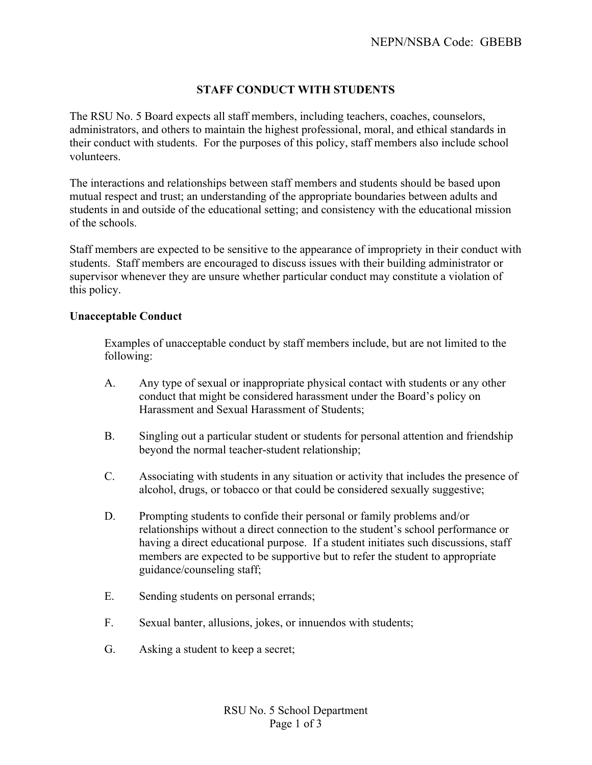# **STAFF CONDUCT WITH STUDENTS**

The RSU No. 5 Board expects all staff members, including teachers, coaches, counselors, administrators, and others to maintain the highest professional, moral, and ethical standards in their conduct with students. For the purposes of this policy, staff members also include school volunteers.

The interactions and relationships between staff members and students should be based upon mutual respect and trust; an understanding of the appropriate boundaries between adults and students in and outside of the educational setting; and consistency with the educational mission of the schools.

Staff members are expected to be sensitive to the appearance of impropriety in their conduct with students. Staff members are encouraged to discuss issues with their building administrator or supervisor whenever they are unsure whether particular conduct may constitute a violation of this policy.

## **Unacceptable Conduct**

Examples of unacceptable conduct by staff members include, but are not limited to the following:

- A. Any type of sexual or inappropriate physical contact with students or any other conduct that might be considered harassment under the Board's policy on Harassment and Sexual Harassment of Students;
- B. Singling out a particular student or students for personal attention and friendship beyond the normal teacher-student relationship;
- C. Associating with students in any situation or activity that includes the presence of alcohol, drugs, or tobacco or that could be considered sexually suggestive;
- D. Prompting students to confide their personal or family problems and/or relationships without a direct connection to the student's school performance or having a direct educational purpose. If a student initiates such discussions, staff members are expected to be supportive but to refer the student to appropriate guidance/counseling staff;
- E. Sending students on personal errands;
- F. Sexual banter, allusions, jokes, or innuendos with students;
- G. Asking a student to keep a secret;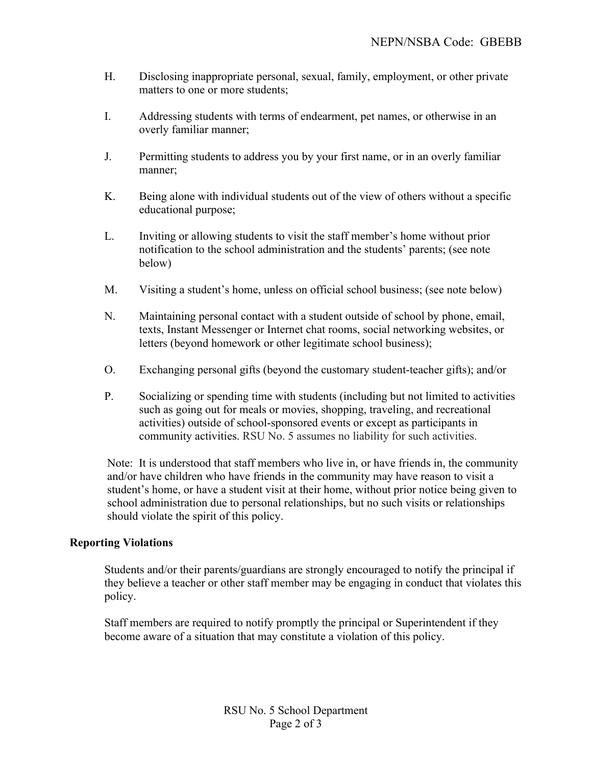- H. Disclosing inappropriate personal, sexual, family, employment, or other private matters to one or more students;
- I. Addressing students with terms of endearment, pet names, or otherwise in an overly familiar manner;
- J. Permitting students to address you by your first name, or in an overly familiar manner;
- K. Being alone with individual students out of the view of others without a specific educational purpose;
- L. Inviting or allowing students to visit the staff member's home without prior notification to the school administration and the students' parents; (see note below)
- M. Visiting a student's home, unless on official school business; (see note below)
- N. Maintaining personal contact with a student outside of school by phone, email, texts, Instant Messenger or Internet chat rooms, social networking websites, or letters (beyond homework or other legitimate school business);
- O. Exchanging personal gifts (beyond the customary student-teacher gifts); and/or
- P. Socializing or spending time with students (including but not limited to activities such as going out for meals or movies, shopping, traveling, and recreational activities) outside of school-sponsored events or except as participants in community activities. RSU No. 5 assumes no liability for such activities.

Note: It is understood that staff members who live in, or have friends in, the community and/or have children who have friends in the community may have reason to visit a student's home, or have a student visit at their home, without prior notice being given to school administration due to personal relationships, but no such visits or relationships should violate the spirit of this policy.

## **Reporting Violations**

Students and/or their parents/guardians are strongly encouraged to notify the principal if they believe a teacher or other staff member may be engaging in conduct that violates this policy.

Staff members are required to notify promptly the principal or Superintendent if they become aware of a situation that may constitute a violation of this policy.